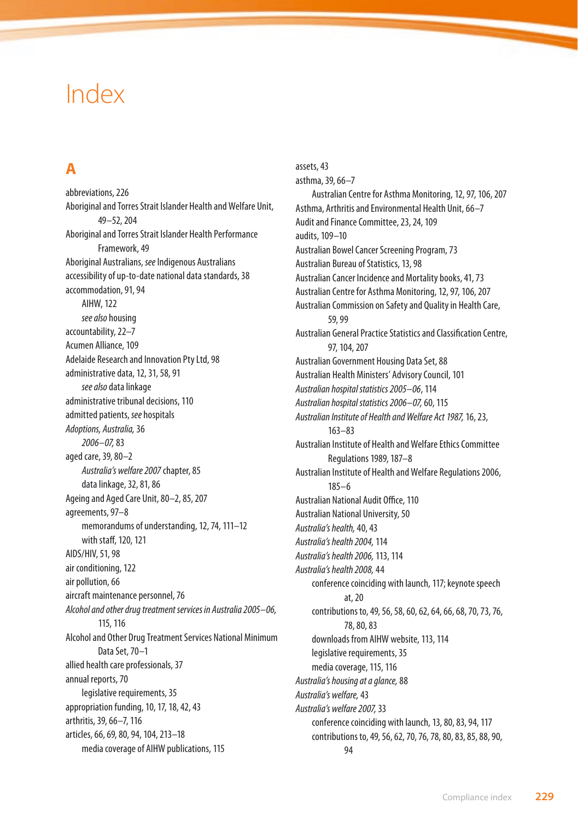# Index

### **A**

abbreviations, 226 Aboriginal and Torres Strait Islander Health and Welfare Unit, 49–52, 204 Aboriginal and Torres Strait Islander Health Performance Framework, 49 Aboriginal Australians, *see* Indigenous Australians accessibility of up-to-date national data standards, 38 accommodation, 91, 94 AIHW, 122 *see also* housing accountability, 22–7 Acumen Alliance, 109 Adelaide Research and Innovation Pty Ltd, 98 administrative data, 12, 31, 58, 91 *see also* data linkage administrative tribunal decisions, 110 admitted patients, *see* hospitals *Adoptions, Australia,* 36 *2006–07,* 83 aged care, 39, 80–2 *Australia's welfare 2007* chapter, 85 data linkage, 32, 81, 86 Ageing and Aged Care Unit, 80–2, 85, 207 agreements, 97–8 memorandums of understanding, 12, 74, 111–12 with staff, 120, 121 AIDS/HIV, 51, 98 air conditioning, 122 air pollution, 66 aircraft maintenance personnel, 76 *Alcohol and other drug treatment services in Australia 2005–06,* 115, 116 Alcohol and Other Drug Treatment Services National Minimum Data Set, 70–1 allied health care professionals, 37 annual reports, 70 legislative requirements, 35 appropriation funding, 10, 17, 18, 42, 43 arthritis, 39, 66–7, 116 articles, 66, 69, 80, 94, 104, 213–18 media coverage of AIHW publications, 115

assets, 43 asthma, 39, 66–7 Australian Centre for Asthma Monitoring, 12, 97, 106, 207 Asthma, Arthritis and Environmental Health Unit, 66–7 Audit and Finance Committee, 23, 24, 109 audits, 109–10 Australian Bowel Cancer Screening Program, 73 Australian Bureau of Statistics, 13, 98 Australian Cancer Incidence and Mortality books, 41, 73 Australian Centre for Asthma Monitoring, 12, 97, 106, 207 Australian Commission on Safety and Quality in Health Care, 59, 99 Australian General Practice Statistics and Classification Centre, 97, 104, 207 Australian Government Housing Data Set, 88 Australian Health Ministers' Advisory Council, 101 *Australian hospital statistics 2005–06*, 114 *Australian hospital statistics 2006–07,* 60, 115 *Australian Institute of Health and Welfare Act 1987,* 16, 23, 163–83 Australian Institute of Health and Welfare Ethics Committee Regulations 1989, 187–8 Australian Institute of Health and Welfare Regulations 2006, 185–6 Australian National Audit Office, 110 Australian National University, 50 *Australia's health,* 40, 43 *Australia's health 2004,* 114 *Australia's health 2006,* 113, 114 *Australia's health 2008,* 44 conference coinciding with launch, 117; keynote speech at, 20 contributions to, 49, 56, 58, 60, 62, 64, 66, 68, 70, 73, 76, 78, 80, 83 downloads from AIHW website, 113, 114 legislative requirements, 35 media coverage, 115, 116 *Australia's housing at a glance,* 88 *Australia's welfare,* 43 *Australia's welfare 2007,* 33 conference coinciding with launch, 13, 80, 83, 94, 117 contributions to, 49, 56, 62, 70, 76, 78, 80, 83, 85, 88, 90,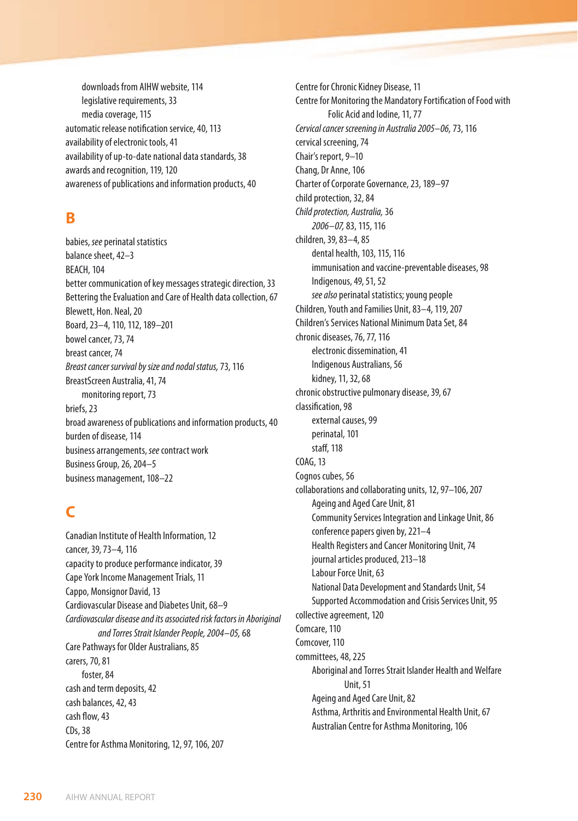downloads from AIHW website, 114 legislative requirements, 33 media coverage, 115 automatic release notification service, 40, 113 availability of electronic tools, 41 availability of up-to-date national data standards, 38 awards and recognition, 119, 120 awareness of publications and information products, 40

#### **B**

babies, *see* perinatal statistics balance sheet, 42–3 BEACH, 104 better communication of key messages strategic direction, 33 Bettering the Evaluation and Care of Health data collection, 67 Blewett, Hon. Neal, 20 Board, 23–4, 110, 112, 189–201 bowel cancer, 73, 74 breast cancer, 74 *Breast cancer survival by size and nodal status,* 73, 116 BreastScreen Australia, 41, 74 monitoring report, 73 briefs, 23 broad awareness of publications and information products, 40 burden of disease, 114 business arrangements, *see* contract work Business Group, 26, 204–5 business management, 108–22

# **C**

Canadian Institute of Health Information, 12 cancer, 39, 73–4, 116 capacity to produce performance indicator, 39 Cape York Income Management Trials, 11 Cappo, Monsignor David, 13 Cardiovascular Disease and Diabetes Unit, 68–9 *Cardiovascular disease and its associated risk factors in Aboriginal and Torres Strait Islander People, 2004–05,* 68 Care Pathways for Older Australians, 85 carers, 70, 81 foster, 84 cash and term deposits, 42 cash balances, 42, 43 cash flow, 43 CDs, 38 Centre for Asthma Monitoring, 12, 97, 106, 207

Centre for Chronic Kidney Disease, 11 Centre for Monitoring the Mandatory Fortification of Food with Folic Acid and Iodine, 11, 77 *Cervical cancer screening in Australia 2005–06,* 73, 116 cervical screening, 74 Chair's report, 9–10 Chang, Dr Anne, 106 Charter of Corporate Governance, 23, 189–97 child protection, 32, 84 *Child protection, Australia,* 36 *2006–07,* 83, 115, 116 children, 39, 83–4, 85 dental health, 103, 115, 116 immunisation and vaccine-preventable diseases, 98 Indigenous, 49, 51, 52 *see also* perinatal statistics; young people Children, Youth and Families Unit, 83–4, 119, 207 Children's Services National Minimum Data Set, 84 chronic diseases, 76, 77, 116 electronic dissemination, 41 Indigenous Australians, 56 kidney, 11, 32, 68 chronic obstructive pulmonary disease, 39, 67 classification, 98 external causes, 99 perinatal, 101 staff, 118 COAG, 13 Cognos cubes, 56 collaborations and collaborating units, 12, 97–106, 207 Ageing and Aged Care Unit, 81 Community Services Integration and Linkage Unit, 86 conference papers given by, 221–4 Health Registers and Cancer Monitoring Unit, 74 journal articles produced, 213–18 Labour Force Unit, 63 National Data Development and Standards Unit, 54 Supported Accommodation and Crisis Services Unit, 95 collective agreement, 120 Comcare, 110 Comcover, 110 committees, 48, 225 Aboriginal and Torres Strait Islander Health and Welfare Unit, 51 Ageing and Aged Care Unit, 82 Asthma, Arthritis and Environmental Health Unit, 67 Australian Centre for Asthma Monitoring, 106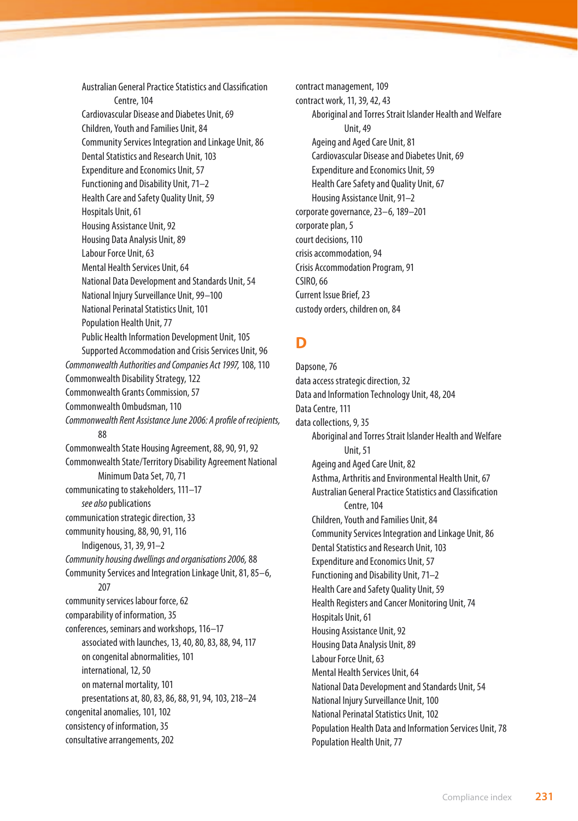Australian General Practice Statistics and Classification Centre, 104 Cardiovascular Disease and Diabetes Unit, 69 Children, Youth and Families Unit, 84 Community Services Integration and Linkage Unit, 86 Dental Statistics and Research Unit, 103 Expenditure and Economics Unit, 57 Functioning and Disability Unit, 71–2 Health Care and Safety Quality Unit, 59 Hospitals Unit, 61 Housing Assistance Unit, 92 Housing Data Analysis Unit, 89 Labour Force Unit, 63 Mental Health Services Unit, 64 National Data Development and Standards Unit, 54 National Injury Surveillance Unit, 99–100 National Perinatal Statistics Unit, 101 Population Health Unit, 77 Public Health Information Development Unit, 105 Supported Accommodation and Crisis Services Unit, 96 *Commonwealth Authorities and Companies Act 1997,* 108, 110 Commonwealth Disability Strategy, 122 Commonwealth Grants Commission, 57 Commonwealth Ombudsman, 110 *Commonwealth Rent Assistance June 2006: A profile of recipients,* 88 Commonwealth State Housing Agreement, 88, 90, 91, 92 Commonwealth State/Territory Disability Agreement National Minimum Data Set, 70, 71 communicating to stakeholders, 111–17 *see also* publications communication strategic direction, 33 community housing, 88, 90, 91, 116 Indigenous, 31, 39, 91–2 *Community housing dwellings and organisations 2006,* 88 Community Services and Integration Linkage Unit, 81, 85–6, 207 community services labour force, 62 comparability of information, 35 conferences, seminars and workshops, 116–17 associated with launches, 13, 40, 80, 83, 88, 94, 117 on congenital abnormalities, 101 international, 12, 50 on maternal mortality, 101 presentations at, 80, 83, 86, 88, 91, 94, 103, 218–24 congenital anomalies, 101, 102 consistency of information, 35 consultative arrangements, 202

contract management, 109 contract work, 11, 39, 42, 43 Aboriginal and Torres Strait Islander Health and Welfare Unit, 49 Ageing and Aged Care Unit, 81 Cardiovascular Disease and Diabetes Unit, 69 Expenditure and Economics Unit, 59 Health Care Safety and Quality Unit, 67 Housing Assistance Unit, 91–2 corporate governance, 23–6, 189–201 corporate plan, 5 court decisions, 110 crisis accommodation, 94 Crisis Accommodation Program, 91 CSIRO, 66 Current Issue Brief, 23 custody orders, children on, 84

### **D**

Dapsone, 76 data access strategic direction, 32 Data and Information Technology Unit, 48, 204 Data Centre, 111 data collections, 9, 35 Aboriginal and Torres Strait Islander Health and Welfare Unit, 51 Ageing and Aged Care Unit, 82 Asthma, Arthritis and Environmental Health Unit, 67 Australian General Practice Statistics and Classification Centre, 104 Children, Youth and Families Unit, 84 Community Services Integration and Linkage Unit, 86 Dental Statistics and Research Unit, 103 Expenditure and Economics Unit, 57 Functioning and Disability Unit, 71–2 Health Care and Safety Quality Unit, 59 Health Registers and Cancer Monitoring Unit, 74 Hospitals Unit, 61 Housing Assistance Unit, 92 Housing Data Analysis Unit, 89 Labour Force Unit, 63 Mental Health Services Unit, 64 National Data Development and Standards Unit, 54 National Injury Surveillance Unit, 100 National Perinatal Statistics Unit, 102 Population Health Data and Information Services Unit, 78 Population Health Unit, 77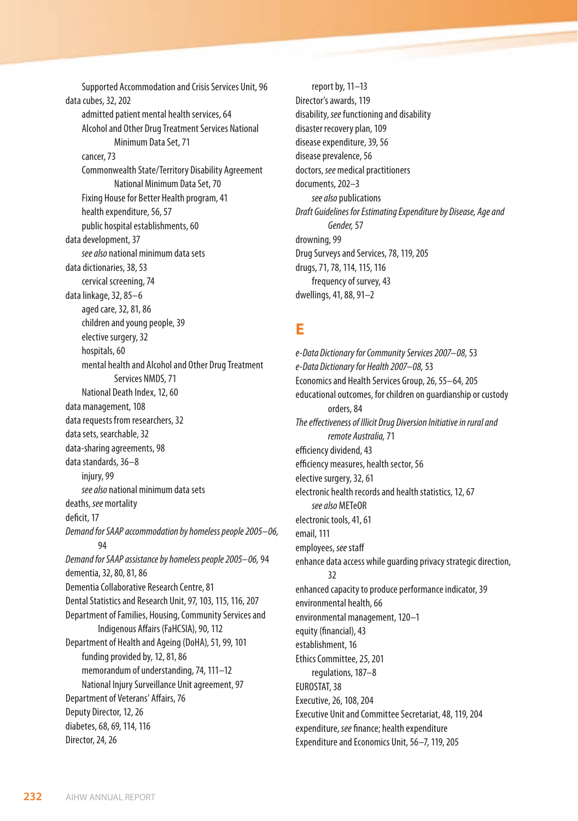Supported Accommodation and Crisis Services Unit, 96 data cubes, 32, 202 admitted patient mental health services, 64 Alcohol and Other Drug Treatment Services National Minimum Data Set, 71 cancer, 73 Commonwealth State/Territory Disability Agreement National Minimum Data Set, 70 Fixing House for Better Health program, 41 health expenditure, 56, 57 public hospital establishments, 60 data development, 37 *see also* national minimum data sets data dictionaries, 38, 53 cervical screening, 74 data linkage, 32, 85–6 aged care, 32, 81, 86 children and young people, 39 elective surgery, 32 hospitals, 60 mental health and Alcohol and Other Drug Treatment Services NMDS, 71 National Death Index, 12, 60 data management, 108 data requests from researchers, 32 data sets, searchable, 32 data-sharing agreements, 98 data standards, 36–8 injury, 99 *see also* national minimum data sets deaths, *see* mortality deficit, 17 *Demand for SAAP accommodation by homeless people 2005–06,* 94 *Demand for SAAP assistance by homeless people 2005–06,* 94 dementia, 32, 80, 81, 86 Dementia Collaborative Research Centre, 81 Dental Statistics and Research Unit, 97, 103, 115, 116, 207 Department of Families, Housing, Community Services and Indigenous Affairs (FaHCSIA), 90, 112 Department of Health and Ageing (DoHA), 51, 99, 101 funding provided by, 12, 81, 86 memorandum of understanding, 74, 111–12 National Injury Surveillance Unit agreement, 97 Department of Veterans' Affairs, 76 Deputy Director, 12, 26 diabetes, 68, 69, 114, 116 Director, 24, 26

report by, 11–13 Director's awards, 119 disability, *see* functioning and disability disaster recovery plan, 109 disease expenditure, 39, 56 disease prevalence, 56 doctors, *see* medical practitioners documents, 202–3 *see also* publications *Draft Guidelines for Estimating Expenditure by Disease, Age and Gender,* 57 drowning, 99 Drug Surveys and Services, 78, 119, 205 drugs, 71, 78, 114, 115, 116 frequency of survey, 43 dwellings, 41, 88, 91–2

#### **E**

*e-Data Dictionary for Community Services 2007–08,* 53 *e-Data Dictionary for Health 2007–08,* 53 Economics and Health Services Group, 26, 55–64, 205 educational outcomes, for children on guardianship or custody orders, 84 *The effectiveness of Illicit Drug Diversion Initiative in rural and remote Australia,* 71 efficiency dividend, 43 efficiency measures, health sector, 56 elective surgery, 32, 61 electronic health records and health statistics, 12, 67 *see also* METeOR electronic tools, 41, 61 email, 111 employees, *see* staff enhance data access while guarding privacy strategic direction, 32 enhanced capacity to produce performance indicator, 39 environmental health, 66 environmental management, 120–1 equity (financial), 43 establishment, 16 Ethics Committee, 25, 201 regulations, 187–8 EUROSTAT, 38 Executive, 26, 108, 204 Executive Unit and Committee Secretariat, 48, 119, 204 expenditure, *see* finance; health expenditure Expenditure and Economics Unit, 56–7, 119, 205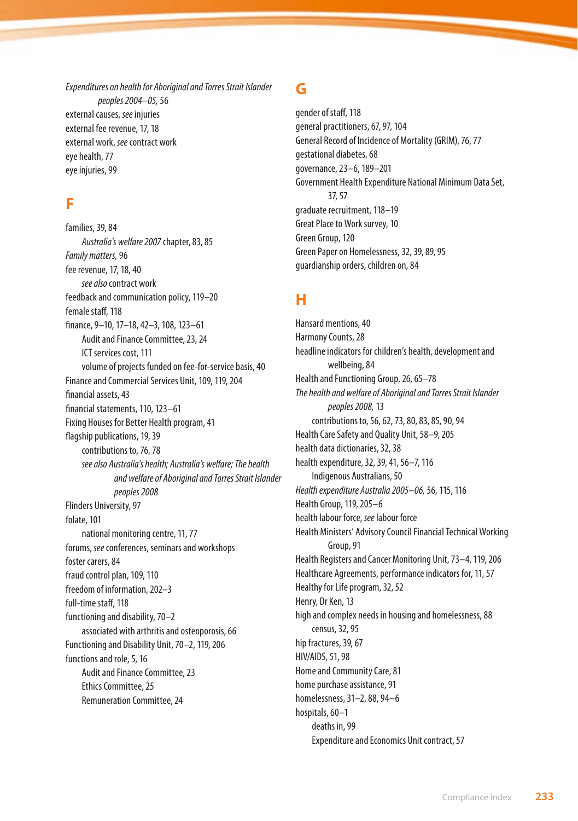*Expenditures on health for Aboriginal and Torres Strait Islander peoples 2004–05,* 56 external causes, *see* injuries external fee revenue, 17, 18 external work, *see* contract work eye health, 77 eye injuries, 99

#### **F**

families, 39, 84 *Australia's welfare 2007* chapter, 83, 85 *Family matters,* 96 fee revenue, 17, 18, 40 *see also* contract work feedback and communication policy, 119–20 female staff, 118 finance, 9–10, 17–18, 42–3, 108, 123–61 Audit and Finance Committee, 23, 24 ICT services cost, 111 volume of projects funded on fee-for-service basis, 40 Finance and Commercial Services Unit, 109, 119, 204 financial assets, 43 financial statements, 110, 123–61 Fixing Houses for Better Health program, 41 flagship publications, 19, 39 contributions to, 76, 78 *see also Australia's health; Australia's welfare;The health and welfare of Aboriginal and Torres Strait Islander peoples 2008* Flinders University, 97 folate, 101 national monitoring centre, 11, 77 forums, *see* conferences, seminars and workshops foster carers, 84 fraud control plan, 109, 110 freedom of information, 202–3 full-time staff, 118 functioning and disability, 70–2 associated with arthritis and osteoporosis, 66 Functioning and Disability Unit, 70–2, 119, 206 functions and role, 5, 16 Audit and Finance Committee, 23 Ethics Committee, 25 Remuneration Committee, 24

#### **G**

gender of staff, 118 general practitioners, 67, 97, 104 General Record of Incidence of Mortality (GRIM), 76, 77 gestational diabetes, 68 governance, 23–6, 189–201 Government Health Expenditure National Minimum Data Set, 37, 57 graduate recruitment, 118–19 Great Place to Work survey, 10 Green Group, 120 Green Paper on Homelessness, 32, 39, 89, 95 guardianship orders, children on, 84

# **H**

Hansard mentions, 40 Harmony Counts, 28 headline indicators for children's health, development and wellbeing, 84 Health and Functioning Group, 26, 65–78 *The health and welfare of Aboriginal and Torres Strait Islander peoples 2008,* 13 contributions to, 56, 62, 73, 80, 83, 85, 90, 94 Health Care Safety and Quality Unit, 58–9, 205 health data dictionaries, 32, 38 health expenditure, 32, 39, 41, 56–7, 116 Indigenous Australians, 50 *Health expenditure Australia 2005–06,* 56, 115, 116 Health Group, 119, 205–6 health labour force, *see* labour force Health Ministers' Advisory Council Financial Technical Working Group, 91 Health Registers and Cancer Monitoring Unit, 73–4, 119, 206 Healthcare Agreements, performance indicators for, 11, 57 Healthy for Life program, 32, 52 Henry, Dr Ken, 13 high and complex needs in housing and homelessness, 88 census, 32, 95 hip fractures, 39, 67 HIV/AIDS, 51, 98 Home and Community Care, 81 home purchase assistance, 91 homelessness, 31–2, 88, 94–6 hospitals, 60–1 deaths in, 99 Expenditure and Economics Unit contract, 57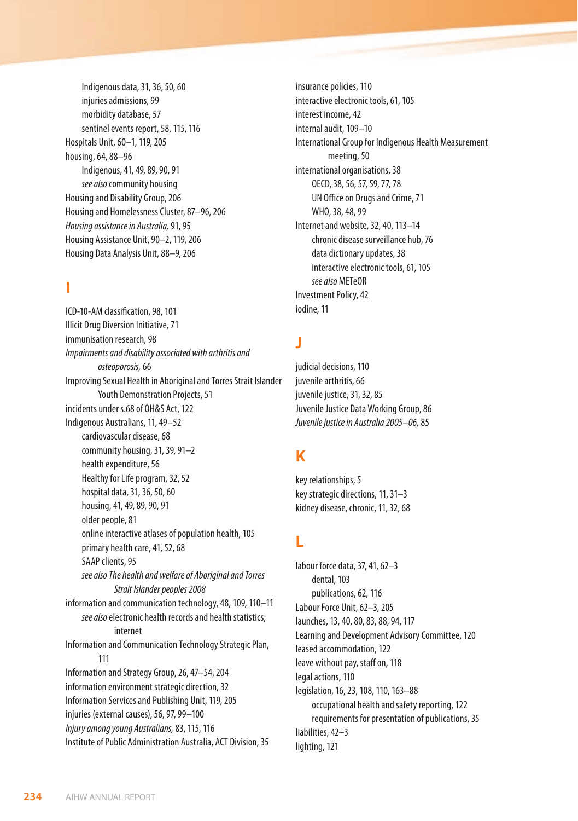Indigenous data, 31, 36, 50, 60 injuries admissions, 99 morbidity database, 57 sentinel events report, 58, 115, 116 Hospitals Unit, 60–1, 119, 205 housing, 64, 88–96 Indigenous, 41, 49, 89, 90, 91 *see also* community housing Housing and Disability Group, 206 Housing and Homelessness Cluster, 87–96, 206 *Housing assistance in Australia,* 91, 95 Housing Assistance Unit, 90–2, 119, 206 Housing Data Analysis Unit, 88–9, 206

#### **I**

ICD-10-AM classification, 98, 101 Illicit Drug Diversion Initiative, 71 immunisation research, 98 *Impairments and disability associated with arthritis and osteoporosis,* 66 Improving Sexual Health in Aboriginal and Torres Strait Islander Youth Demonstration Projects, 51 incidents under s.68 of OH&S Act, 122 Indigenous Australians, 11, 49–52 cardiovascular disease, 68 community housing, 31, 39, 91–2 health expenditure, 56 Healthy for Life program, 32, 52 hospital data, 31, 36, 50, 60 housing, 41, 49, 89, 90, 91 older people, 81 online interactive atlases of population health, 105 primary health care, 41, 52, 68 SAAP clients, 95 *see alsoThe health and welfare of Aboriginal and Torres Strait Islander peoples 2008* information and communication technology, 48, 109, 110–11 *see also* electronic health records and health statistics; internet Information and Communication Technology Strategic Plan, 111 Information and Strategy Group, 26, 47–54, 204 information environment strategic direction, 32 Information Services and Publishing Unit, 119, 205 injuries (external causes), 56, 97, 99–100 *Injury among young Australians,* 83, 115, 116 Institute of Public Administration Australia, ACT Division, 35

insurance policies, 110 interactive electronic tools, 61, 105 interest income, 42 internal audit, 109–10 International Group for Indigenous Health Measurement meeting, 50 international organisations, 38 OECD, 38, 56, 57, 59, 77, 78 UN Office on Drugs and Crime, 71 WHO, 38, 48, 99 Internet and website, 32, 40, 113–14 chronic disease surveillance hub, 76 data dictionary updates, 38 interactive electronic tools, 61, 105 *see also* METeOR Investment Policy, 42 iodine, 11

#### **J**

judicial decisions, 110 juvenile arthritis, 66 juvenile justice, 31, 32, 85 Juvenile Justice Data Working Group, 86 *Juvenile justice in Australia 2005–06,* 85

# **K**

key relationships, 5 key strategic directions, 11, 31–3 kidney disease, chronic, 11, 32, 68

## **L**

labour force data, 37, 41, 62–3 dental, 103 publications, 62, 116 Labour Force Unit, 62–3, 205 launches, 13, 40, 80, 83, 88, 94, 117 Learning and Development Advisory Committee, 120 leased accommodation, 122 leave without pay, staff on, 118 legal actions, 110 legislation, 16, 23, 108, 110, 163–88 occupational health and safety reporting, 122 requirements for presentation of publications, 35 liabilities, 42–3 lighting, 121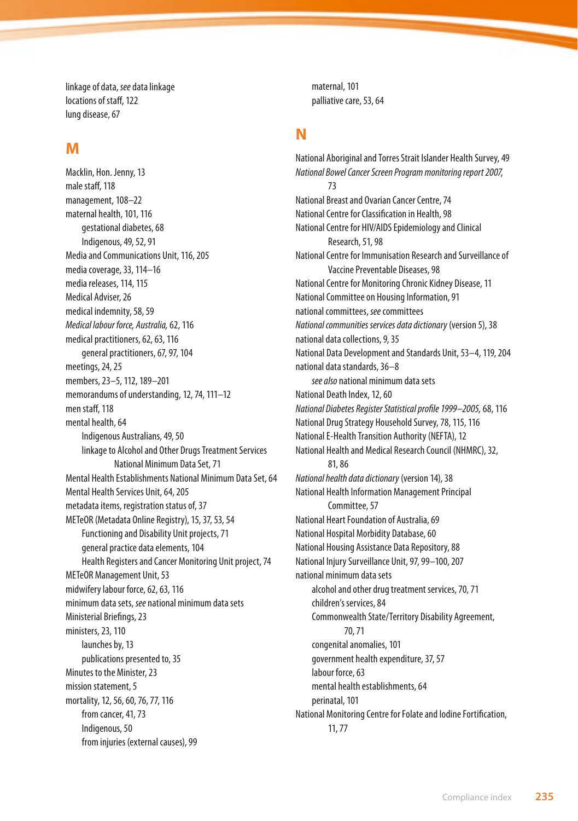linkage of data, *see* data linkage locations of staff, 122 lung disease, 67

#### **M**

Macklin, Hon. Jenny, 13 male staff, 118 management, 108–22 maternal health, 101, 116 gestational diabetes, 68 Indigenous, 49, 52, 91 Media and Communications Unit, 116, 205 media coverage, 33, 114–16 media releases, 114, 115 Medical Adviser, 26 medical indemnity, 58, 59 *Medical labour force, Australia,* 62, 116 medical practitioners, 62, 63, 116 general practitioners, 67, 97, 104 meetings, 24, 25 members, 23–5, 112, 189–201 memorandums of understanding, 12, 74, 111–12 men staff, 118 mental health, 64 Indigenous Australians, 49, 50 linkage to Alcohol and Other Drugs Treatment Services National Minimum Data Set, 71 Mental Health Establishments National Minimum Data Set, 64 Mental Health Services Unit, 64, 205 metadata items, registration status of, 37 METeOR (Metadata Online Registry), 15, 37, 53, 54 Functioning and Disability Unit projects, 71 general practice data elements, 104 Health Registers and Cancer Monitoring Unit project, 74 METeOR Management Unit, 53 midwifery labour force, 62, 63, 116 minimum data sets, *see* national minimum data sets Ministerial Briefings, 23 ministers, 23, 110 launches by, 13 publications presented to, 35 Minutes to the Minister, 23 mission statement, 5 mortality, 12, 56, 60, 76, 77, 116 from cancer, 41, 73 Indigenous, 50 from injuries (external causes), 99

maternal, 101 palliative care, 53, 64

#### **N**

National Aboriginal and Torres Strait Islander Health Survey, 49 *National Bowel Cancer Screen Program monitoring report 2007,* 73 National Breast and Ovarian Cancer Centre, 74 National Centre for Classification in Health, 98 National Centre for HIV/AIDS Epidemiology and Clinical Research, 51, 98 National Centre for Immunisation Research and Surveillance of Vaccine Preventable Diseases, 98 National Centre for Monitoring Chronic Kidney Disease, 11 National Committee on Housing Information, 91 national committees, *see* committees *National communities services data dictionary* (version 5), 38 national data collections, 9, 35 National Data Development and Standards Unit, 53–4, 119, 204 national data standards, 36–8 *see also* national minimum data sets National Death Index, 12, 60 *National Diabetes Register Statistical profile 1999–2005,* 68, 116 National Drug Strategy Household Survey, 78, 115, 116 National E-Health Transition Authority (NEFTA), 12 National Health and Medical Research Council (NHMRC), 32, 81, 86 *National health data dictionary* (version 14), 38 National Health Information Management Principal Committee, 57 National Heart Foundation of Australia, 69 National Hospital Morbidity Database, 60 National Housing Assistance Data Repository, 88 National Injury Surveillance Unit, 97, 99–100, 207 national minimum data sets alcohol and other drug treatment services, 70, 71 children's services, 84 Commonwealth State/Territory Disability Agreement, 70, 71 congenital anomalies, 101 government health expenditure, 37, 57 labour force, 63 mental health establishments, 64 perinatal, 101 National Monitoring Centre for Folate and Iodine Fortification, 11, 77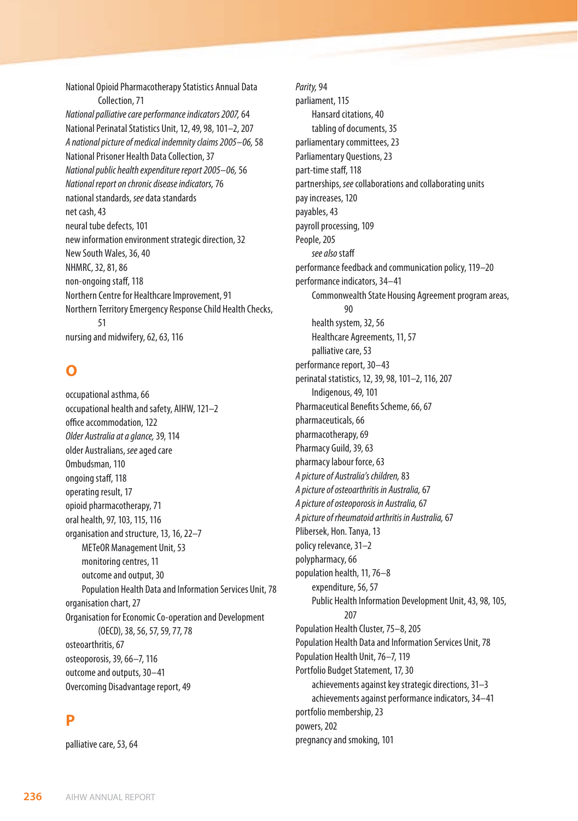National Opioid Pharmacotherapy Statistics Annual Data Collection, 71 *National palliative care performance indicators 2007,* 64 National Perinatal Statistics Unit, 12, 49, 98, 101–2, 207 *A national picture of medical indemnity claims 2005–06,* 58 National Prisoner Health Data Collection, 37 *National public health expenditure report 2005–06,* 56 *National report on chronic disease indicators,* 76 national standards, *see* data standards net cash, 43 neural tube defects, 101 new information environment strategic direction, 32 New South Wales, 36, 40 NHMRC, 32, 81, 86 non-ongoing staff, 118 Northern Centre for Healthcare Improvement, 91 Northern Territory Emergency Response Child Health Checks, 51 nursing and midwifery, 62, 63, 116

#### **O**

occupational asthma, 66 occupational health and safety, AIHW, 121–2 office accommodation, 122 *Older Australia at a glance,* 39, 114 older Australians, *see* aged care Ombudsman, 110 ongoing staff, 118 operating result, 17 opioid pharmacotherapy, 71 oral health, 97, 103, 115, 116 organisation and structure, 13, 16, 22–7 METeOR Management Unit, 53 monitoring centres, 11 outcome and output, 30 Population Health Data and Information Services Unit, 78 organisation chart, 27 Organisation for Economic Co-operation and Development (OECD), 38, 56, 57, 59, 77, 78 osteoarthritis, 67 osteoporosis, 39, 66–7, 116 outcome and outputs, 30–41 Overcoming Disadvantage report, 49

## **P**

palliative care, 53, 64

*Parity,* 94 parliament, 115 Hansard citations, 40 tabling of documents, 35 parliamentary committees, 23 Parliamentary Questions, 23 part-time staff, 118 partnerships, *see* collaborations and collaborating units pay increases, 120 payables, 43 payroll processing, 109 People, 205 *see also* staff performance feedback and communication policy, 119–20 performance indicators, 34–41 Commonwealth State Housing Agreement program areas, 90 health system, 32, 56 Healthcare Agreements, 11, 57 palliative care, 53 performance report, 30–43 perinatal statistics, 12, 39, 98, 101–2, 116, 207 Indigenous, 49, 101 Pharmaceutical Benefits Scheme, 66, 67 pharmaceuticals, 66 pharmacotherapy, 69 Pharmacy Guild, 39, 63 pharmacy labour force, 63 *A picture of Australia's children,* 83 *A picture of osteoarthritis in Australia,* 67 *A picture of osteoporosis in Australia,* 67 *A picture of rheumatoid arthritis in Australia,* 67 Plibersek, Hon. Tanya, 13 policy relevance, 31–2 polypharmacy, 66 population health, 11, 76–8 expenditure, 56, 57 Public Health Information Development Unit, 43, 98, 105, 207 Population Health Cluster, 75–8, 205 Population Health Data and Information Services Unit, 78 Population Health Unit, 76–7, 119 Portfolio Budget Statement, 17, 30 achievements against key strategic directions, 31–3 achievements against performance indicators, 34–41 portfolio membership, 23 powers, 202 pregnancy and smoking, 101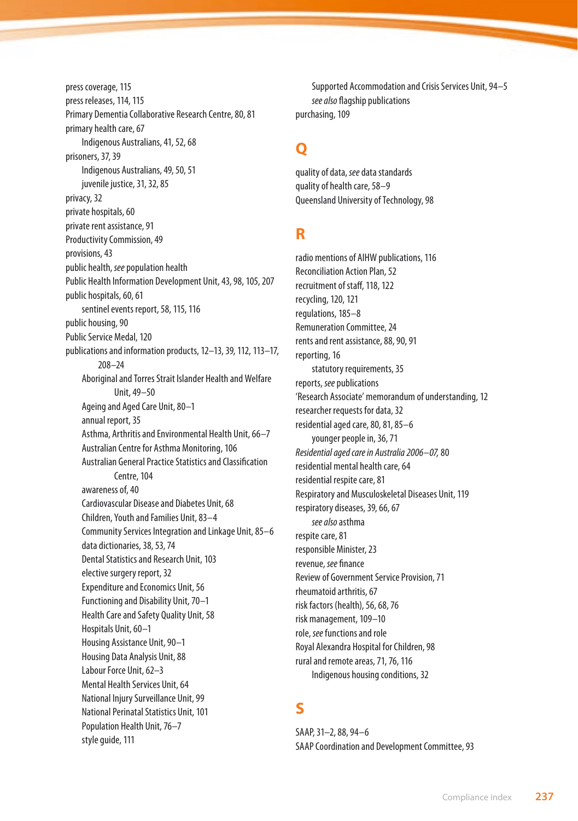press coverage, 115 press releases, 114, 115 Primary Dementia Collaborative Research Centre, 80, 81 primary health care, 67 Indigenous Australians, 41, 52, 68 prisoners, 37, 39 Indigenous Australians, 49, 50, 51 juvenile justice, 31, 32, 85 privacy, 32 private hospitals, 60 private rent assistance, 91 Productivity Commission, 49 provisions, 43 public health, *see* population health Public Health Information Development Unit, 43, 98, 105, 207 public hospitals, 60, 61 sentinel events report, 58, 115, 116 public housing, 90 Public Service Medal, 120 publications and information products, 12–13, 39, 112, 113–17, 208–24 Aboriginal and Torres Strait Islander Health and Welfare Unit, 49–50 Ageing and Aged Care Unit, 80–1 annual report, 35 Asthma, Arthritis and Environmental Health Unit, 66–7 Australian Centre for Asthma Monitoring, 106 Australian General Practice Statistics and Classification Centre, 104 awareness of, 40 Cardiovascular Disease and Diabetes Unit, 68 Children, Youth and Families Unit, 83–4 Community Services Integration and Linkage Unit, 85–6 data dictionaries, 38, 53, 74 Dental Statistics and Research Unit, 103 elective surgery report, 32 Expenditure and Economics Unit, 56 Functioning and Disability Unit, 70–1 Health Care and Safety Quality Unit, 58 Hospitals Unit, 60–1 Housing Assistance Unit, 90–1 Housing Data Analysis Unit, 88 Labour Force Unit, 62–3 Mental Health Services Unit, 64 National Injury Surveillance Unit, 99 National Perinatal Statistics Unit, 101 Population Health Unit, 76–7 style guide, 111

Supported Accommodation and Crisis Services Unit, 94–5 *see also* flagship publications purchasing, 109

# **Q**

quality of data, *see* data standards quality of health care, 58–9 Queensland University of Technology, 98

#### **R**

radio mentions of AIHW publications, 116 Reconciliation Action Plan, 52 recruitment of staff, 118, 122 recycling, 120, 121 regulations, 185–8 Remuneration Committee, 24 rents and rent assistance, 88, 90, 91 reporting, 16 statutory requirements, 35 reports, *see* publications 'Research Associate' memorandum of understanding, 12 researcher requests for data, 32 residential aged care, 80, 81, 85–6 younger people in, 36, 71 *Residential aged care in Australia 2006–07,* 80 residential mental health care, 64 residential respite care, 81 Respiratory and Musculoskeletal Diseases Unit, 119 respiratory diseases, 39, 66, 67 *see also* asthma respite care, 81 responsible Minister, 23 revenue, *see* finance Review of Government Service Provision, 71 rheumatoid arthritis, 67 risk factors (health), 56, 68, 76 risk management, 109–10 role, *see* functions and role Royal Alexandra Hospital for Children, 98 rural and remote areas, 71, 76, 116 Indigenous housing conditions, 32

# **S**

SAAP, 31–2, 88, 94–6 SAAP Coordination and Development Committee, 93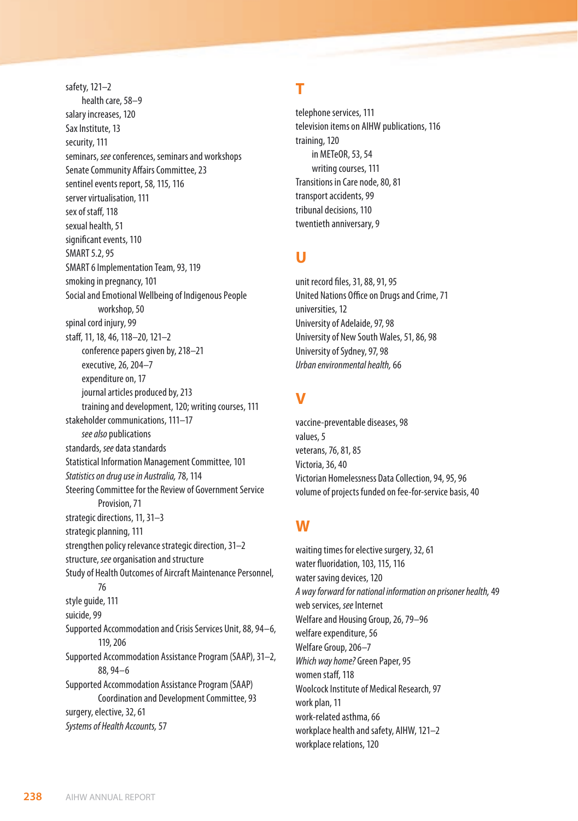safety, 121–2 health care, 58–9 salary increases, 120 Sax Institute, 13 security, 111 seminars, *see* conferences, seminars and workshops Senate Community Affairs Committee, 23 sentinel events report, 58, 115, 116 server virtualisation, 111 sex of staff, 118 sexual health, 51 significant events, 110 SMART 5.2, 95 SMART 6 Implementation Team, 93, 119 smoking in pregnancy, 101 Social and Emotional Wellbeing of Indigenous People workshop, 50 spinal cord injury, 99 staff, 11, 18, 46, 118–20, 121–2 conference papers given by, 218–21 executive, 26, 204–7 expenditure on, 17 journal articles produced by, 213 training and development, 120; writing courses, 111 stakeholder communications, 111–17 *see also* publications standards, *see* data standards Statistical Information Management Committee, 101 *Statistics on drug use in Australia,* 78, 114 Steering Committee for the Review of Government Service Provision, 71 strategic directions, 11, 31–3 strategic planning, 111 strengthen policy relevance strategic direction, 31–2 structure, *see* organisation and structure Study of Health Outcomes of Aircraft Maintenance Personnel, 76 style guide, 111 suicide, 99 Supported Accommodation and Crisis Services Unit, 88, 94–6, 119, 206 Supported Accommodation Assistance Program (SAAP), 31–2, 88, 94–6 Supported Accommodation Assistance Program (SAAP) Coordination and Development Committee, 93 surgery, elective, 32, 61 *Systems of Health Accounts,* 57

# **T**

telephone services, 111 television items on AIHW publications, 116 training, 120 in METeOR, 53, 54 writing courses, 111 Transitions in Care node, 80, 81 transport accidents, 99 tribunal decisions, 110 twentieth anniversary, 9

## **U**

unit record files, 31, 88, 91, 95 United Nations Office on Drugs and Crime, 71 universities, 12 University of Adelaide, 97, 98 University of New South Wales, 51, 86, 98 University of Sydney, 97, 98 *Urban environmental health,* 66

# **V**

vaccine-preventable diseases, 98 values, 5 veterans, 76, 81, 85 Victoria, 36, 40 Victorian Homelessness Data Collection, 94, 95, 96 volume of projects funded on fee-for-service basis, 40

## **W**

waiting times for elective surgery, 32, 61 water fluoridation, 103, 115, 116 water saving devices, 120 *A way forward for national information on prisoner health,* 49 web services, *see* Internet Welfare and Housing Group, 26, 79–96 welfare expenditure, 56 Welfare Group, 206–7 *Which way home?* Green Paper, 95 women staff, 118 Woolcock Institute of Medical Research, 97 work plan, 11 work-related asthma, 66 workplace health and safety, AIHW, 121–2 workplace relations, 120